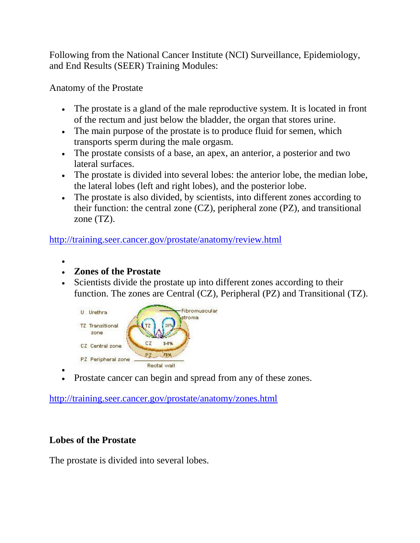Following from the National Cancer Institute (NCI) Surveillance, Epidemiology, and End Results (SEER) Training Modules:

Anatomy of the Prostate

- The prostate is a gland of the male reproductive system. It is located in front of the rectum and just below the bladder, the organ that stores urine.
- The main purpose of the prostate is to produce fluid for semen, which transports sperm during the male orgasm.
- The prostate consists of a base, an apex, an anterior, a posterior and two lateral surfaces.
- The prostate is divided into several lobes: the anterior lobe, the median lobe, the lateral lobes (left and right lobes), and the posterior lobe.
- The prostate is also divided, by scientists, into different zones according to their function: the central zone (CZ), peripheral zone (PZ), and transitional zone (TZ).

<http://training.seer.cancer.gov/prostate/anatomy/review.html>

- $\bullet$
- **Zones of the Prostate**
- Scientists divide the prostate up into different zones according to their function. The zones are Central (CZ), Peripheral (PZ) and Transitional (TZ).



 $\bullet$ Prostate cancer can begin and spread from any of these zones.

<http://training.seer.cancer.gov/prostate/anatomy/zones.html>

# **Lobes of the Prostate**

The prostate is divided into several lobes.